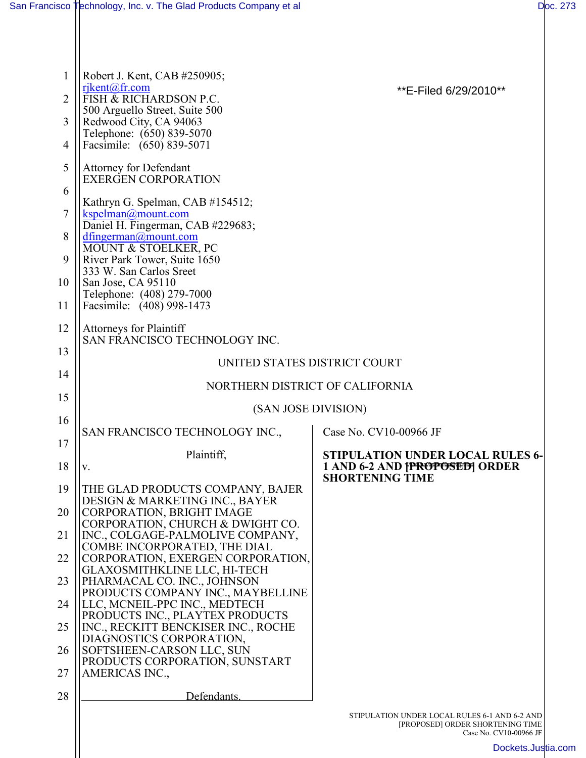| 1<br>$\overline{2}$<br>3<br>4 | Robert J. Kent, CAB #250905;<br>rikent@fr.com<br><b>FISH &amp; RICHARDSON P.C.</b><br>500 Arguello Street, Suite 500<br>Redwood City, CA 94063<br>Telephone: (650) 839-5070<br>Facsimile: (650) 839-5071 | **E-Filed 6/29/2010**                                                                                       |  |
|-------------------------------|----------------------------------------------------------------------------------------------------------------------------------------------------------------------------------------------------------|-------------------------------------------------------------------------------------------------------------|--|
| 5                             | <b>Attorney for Defendant</b><br><b>EXERGEN CORPORATION</b>                                                                                                                                              |                                                                                                             |  |
| 6                             | Kathryn G. Spelman, CAB #154512;                                                                                                                                                                         |                                                                                                             |  |
| $\tau$                        | kspelman@mount.com<br>Daniel H. Fingerman, CAB #229683;                                                                                                                                                  |                                                                                                             |  |
| 8                             | $d$ fingerman@mount.com<br>MOUNT & STOELKER, PC                                                                                                                                                          |                                                                                                             |  |
| 9                             | River Park Tower, Suite 1650<br>333 W. San Carlos Sreet                                                                                                                                                  |                                                                                                             |  |
| 10                            | San Jose, CA 95110<br>Telephone: (408) 279-7000                                                                                                                                                          |                                                                                                             |  |
| 11                            | Facsimile: (408) 998-1473                                                                                                                                                                                |                                                                                                             |  |
| 12                            | <b>Attorneys for Plaintiff</b><br>SAN FRANCISCO TECHNOLOGY INC.                                                                                                                                          |                                                                                                             |  |
| 13<br>14                      | UNITED STATES DISTRICT COURT                                                                                                                                                                             |                                                                                                             |  |
| 15                            | NORTHERN DISTRICT OF CALIFORNIA                                                                                                                                                                          |                                                                                                             |  |
|                               | (SAN JOSE DIVISION)                                                                                                                                                                                      |                                                                                                             |  |
| 16<br>17                      | SAN FRANCISCO TECHNOLOGY INC.,                                                                                                                                                                           | Case No. CV10-00966 JF                                                                                      |  |
| 18                            | Plaintiff,<br>V.                                                                                                                                                                                         | <b>STIPULATION UNDER LOCAL RULES 6-</b><br>1 AND 6-2 AND FPROPOSED ORDER                                    |  |
| 19                            | THE GLAD PRODUCTS COMPANY, BAJER                                                                                                                                                                         | <b>SHORTENING TIME</b>                                                                                      |  |
| 20                            | DESIGN & MARKETING INC., BAYER<br><b>CORPORATION, BRIGHT IMAGE</b>                                                                                                                                       |                                                                                                             |  |
| 21                            | CORPORATION, CHURCH & DWIGHT CO.<br>INC., COLGAGE-PALMOLIVE COMPANY,<br>COMBE INCORPORATED, THE DIAL                                                                                                     |                                                                                                             |  |
| 22                            | CORPORATION, EXERGEN CORPORATION,<br><b>GLAXOSMITHKLINE LLC, HI-TECH</b>                                                                                                                                 |                                                                                                             |  |
| 23                            | PHARMACAL CO. INC., JOHNSON<br>PRODUCTS COMPANY INC., MAYBELLINE                                                                                                                                         |                                                                                                             |  |
| 24                            | LLC, MCNEIL-PPC INC., MEDTECH<br>PRODUCTS INC., PLAYTEX PRODUCTS                                                                                                                                         |                                                                                                             |  |
| 25                            | INC., RECKITT BENCKISER INC., ROCHE<br>DIAGNOSTICS CORPORATION,                                                                                                                                          |                                                                                                             |  |
| 26                            | SOFTSHEEN-CARSON LLC, SUN<br>PRODUCTS CORPORATION, SUNSTART                                                                                                                                              |                                                                                                             |  |
| 27                            | AMERICAS INC.,                                                                                                                                                                                           |                                                                                                             |  |
| 28                            | Defendants.                                                                                                                                                                                              |                                                                                                             |  |
|                               |                                                                                                                                                                                                          | STIPULATION UNDER LOCAL RULES 6-1 AND 6-2 AND<br>[PROPOSED] ORDER SHORTENING TIME<br>Case No. CV10-00966 JF |  |
|                               |                                                                                                                                                                                                          | Dockets.Justia                                                                                              |  |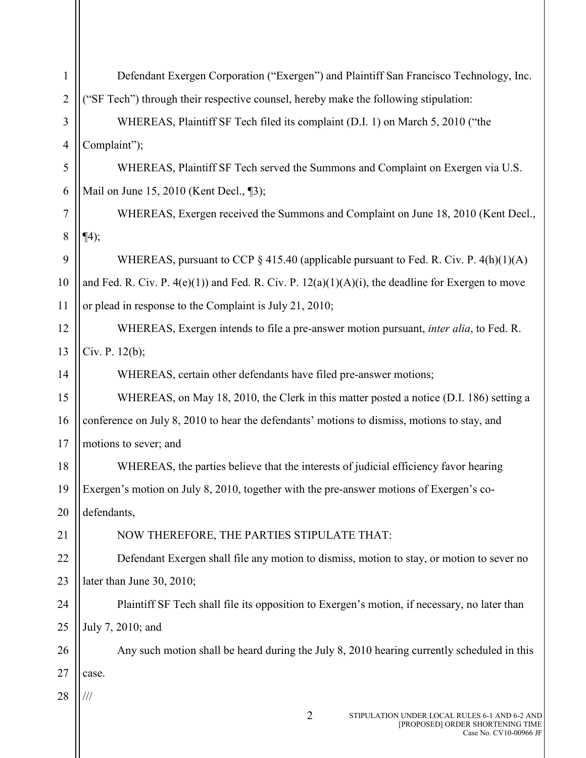| 1              | Defendant Exergen Corporation ("Exergen") and Plaintiff San Francisco Technology, Inc.                                        |  |  |
|----------------|-------------------------------------------------------------------------------------------------------------------------------|--|--|
| $\overline{2}$ | ("SF Tech") through their respective counsel, hereby make the following stipulation:                                          |  |  |
| 3              | WHEREAS, Plaintiff SF Tech filed its complaint (D.I. 1) on March 5, 2010 ("the                                                |  |  |
| $\overline{4}$ | Complaint");                                                                                                                  |  |  |
| 5              | WHEREAS, Plaintiff SF Tech served the Summons and Complaint on Exergen via U.S.                                               |  |  |
| 6              | Mail on June 15, 2010 (Kent Decl., 13);                                                                                       |  |  |
| 7              | WHEREAS, Exergen received the Summons and Complaint on June 18, 2010 (Kent Decl.,                                             |  |  |
| 8              | $\P(4);$                                                                                                                      |  |  |
| 9              | WHEREAS, pursuant to CCP $\S$ 415.40 (applicable pursuant to Fed. R. Civ. P. 4(h)(1)(A)                                       |  |  |
| 10             | and Fed. R. Civ. P. $4(e)(1)$ and Fed. R. Civ. P. $12(a)(1)(A)(i)$ , the deadline for Exergen to move                         |  |  |
| 11             | or plead in response to the Complaint is July 21, 2010;                                                                       |  |  |
| 12             | WHEREAS, Exergen intends to file a pre-answer motion pursuant, <i>inter alia</i> , to Fed. R.                                 |  |  |
| 13             | Civ. P. $12(b)$ ;                                                                                                             |  |  |
| 14             | WHEREAS, certain other defendants have filed pre-answer motions;                                                              |  |  |
| 15             | WHEREAS, on May 18, 2010, the Clerk in this matter posted a notice (D.I. 186) setting a                                       |  |  |
| 16             | conference on July 8, 2010 to hear the defendants' motions to dismiss, motions to stay, and                                   |  |  |
| 17             | motions to sever; and                                                                                                         |  |  |
| 18             | WHEREAS, the parties believe that the interests of judicial efficiency favor hearing                                          |  |  |
| 19             | Exergen's motion on July 8, 2010, together with the pre-answer motions of Exergen's co-                                       |  |  |
| 20             | defendants,                                                                                                                   |  |  |
| 21             | NOW THEREFORE, THE PARTIES STIPULATE THAT:                                                                                    |  |  |
| 22             | Defendant Exergen shall file any motion to dismiss, motion to stay, or motion to sever no                                     |  |  |
| 23             | later than June 30, 2010;                                                                                                     |  |  |
| 24             | Plaintiff SF Tech shall file its opposition to Exergen's motion, if necessary, no later than                                  |  |  |
| 25             | July 7, 2010; and                                                                                                             |  |  |
| 26             | Any such motion shall be heard during the July 8, 2010 hearing currently scheduled in this                                    |  |  |
| 27             | case.                                                                                                                         |  |  |
| 28             |                                                                                                                               |  |  |
|                | $\overline{2}$<br>STIPULATION UNDER LOCAL RULES 6-1 AND 6-2 AND<br>[PROPOSED] ORDER SHORTENING TIME<br>Case No. CV10-00966 JF |  |  |

 $\mathsf{I}$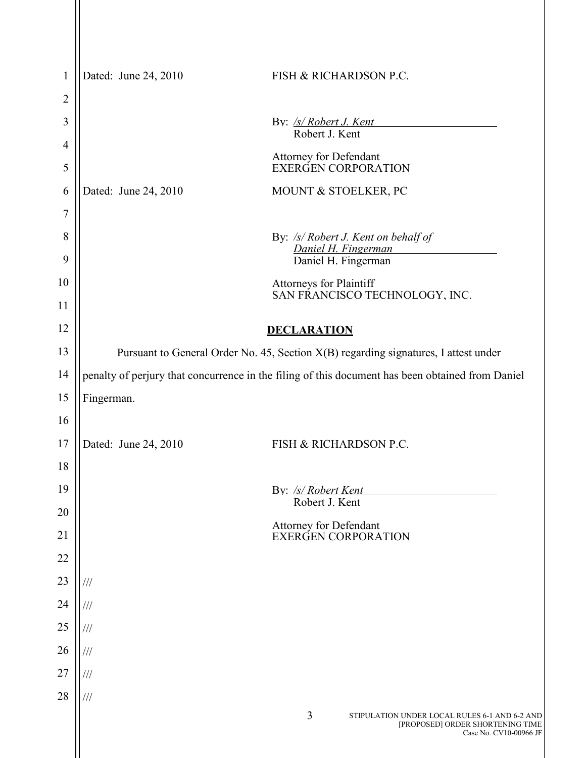| $\mathbf{1}$   | Dated: June 24, 2010                                                                             | FISH & RICHARDSON P.C.                                                                                           |
|----------------|--------------------------------------------------------------------------------------------------|------------------------------------------------------------------------------------------------------------------|
| $\overline{2}$ |                                                                                                  |                                                                                                                  |
| 3              |                                                                                                  | By: <u>/s/ Robert J. Kent</u><br>Robert J. Kent                                                                  |
| $\overline{4}$ |                                                                                                  | Attorney for Defendant                                                                                           |
| 5              |                                                                                                  | <b>EXERGEN CORPORATION</b>                                                                                       |
| 6              | Dated: June 24, 2010                                                                             | MOUNT & STOELKER, PC                                                                                             |
| 7              |                                                                                                  |                                                                                                                  |
| 8              |                                                                                                  | By: /s/ Robert J. Kent on behalf of<br>Daniel H. Fingerman                                                       |
| 9              |                                                                                                  | Daniel H. Fingerman                                                                                              |
| 10             |                                                                                                  | Attorneys for Plaintiff<br>SAN FRANCISCO TECHNOLOGY, INC.                                                        |
| 11             |                                                                                                  |                                                                                                                  |
| 12             |                                                                                                  | <b>DECLARATION</b>                                                                                               |
| 13             | Pursuant to General Order No. 45, Section X(B) regarding signatures, I attest under              |                                                                                                                  |
| 14             | penalty of perjury that concurrence in the filing of this document has been obtained from Daniel |                                                                                                                  |
| 15             | Fingerman.                                                                                       |                                                                                                                  |
| 16             |                                                                                                  |                                                                                                                  |
| 17             | Dated: June 24, 2010                                                                             | FISH & RICHARDSON P.C.                                                                                           |
| 18             |                                                                                                  |                                                                                                                  |
| 19             |                                                                                                  | By: /s/ Robert Kent<br>Robert J. Kent                                                                            |
| 20             |                                                                                                  |                                                                                                                  |
| 21             |                                                                                                  | Attorney for Defendant<br>EXERGEN CORPORATION                                                                    |
| $22\,$         |                                                                                                  |                                                                                                                  |
| 23             | ///                                                                                              |                                                                                                                  |
| 24             | ///                                                                                              |                                                                                                                  |
| $25\,$         | ///                                                                                              |                                                                                                                  |
| 26             | ///                                                                                              |                                                                                                                  |
| 27             | ///                                                                                              |                                                                                                                  |
| 28             | ///                                                                                              |                                                                                                                  |
|                |                                                                                                  | 3<br>STIPULATION UNDER LOCAL RULES 6-1 AND 6-2 AND<br>[PROPOSED] ORDER SHORTENING TIME<br>Case No. CV10-00966 JF |
|                |                                                                                                  |                                                                                                                  |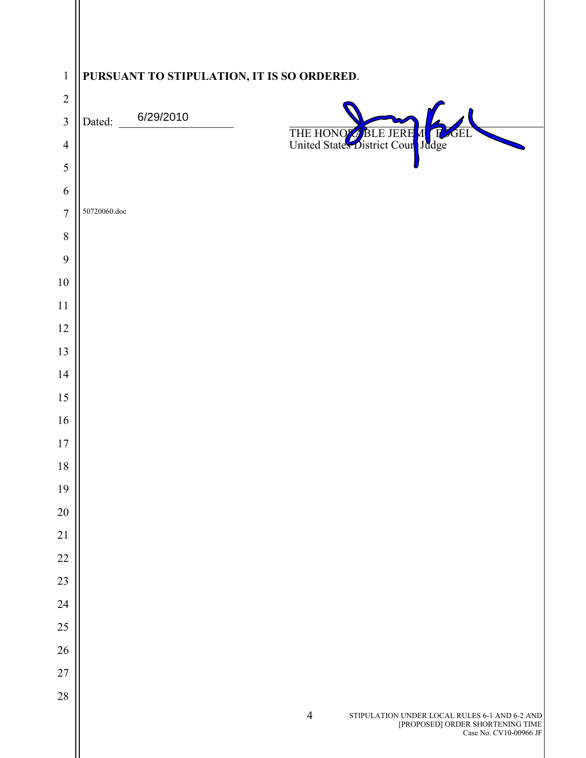| $\mathbf{1}$<br>$\sqrt{2}$ | PURSUANT TO STIPULATION, IT IS SO ORDERED. |                                                                                                                                                                                                                       |
|----------------------------|--------------------------------------------|-----------------------------------------------------------------------------------------------------------------------------------------------------------------------------------------------------------------------|
| $\overline{3}$             | 6/29/2010<br>Dated:                        |                                                                                                                                                                                                                       |
| $\overline{4}$             |                                            | THE HONOGREE JERE MCRE<br><b>SEL</b>                                                                                                                                                                                  |
| 5                          |                                            |                                                                                                                                                                                                                       |
| 6                          |                                            |                                                                                                                                                                                                                       |
| $\overline{7}$             | 50720060.doc                               |                                                                                                                                                                                                                       |
| $\,8\,$                    |                                            |                                                                                                                                                                                                                       |
| 9                          |                                            |                                                                                                                                                                                                                       |
| $10\,$                     |                                            |                                                                                                                                                                                                                       |
| 11                         |                                            |                                                                                                                                                                                                                       |
| 12                         |                                            |                                                                                                                                                                                                                       |
| 13                         |                                            |                                                                                                                                                                                                                       |
| 14                         |                                            |                                                                                                                                                                                                                       |
| 15                         |                                            |                                                                                                                                                                                                                       |
| 16                         |                                            |                                                                                                                                                                                                                       |
| $17$                       |                                            |                                                                                                                                                                                                                       |
| $18\,$                     |                                            |                                                                                                                                                                                                                       |
| 19                         |                                            |                                                                                                                                                                                                                       |
| $20\,$<br>21               |                                            |                                                                                                                                                                                                                       |
| $22\,$                     |                                            |                                                                                                                                                                                                                       |
| 23                         |                                            |                                                                                                                                                                                                                       |
| 24                         |                                            |                                                                                                                                                                                                                       |
| $25\,$                     |                                            |                                                                                                                                                                                                                       |
| $26\,$                     |                                            |                                                                                                                                                                                                                       |
| $27\,$                     |                                            |                                                                                                                                                                                                                       |
| $28\,$                     |                                            |                                                                                                                                                                                                                       |
|                            |                                            | $\overline{4}$<br>$\begin{array}{c} {\bf STIPULATION \; UNDER \; Local \; RULES \; 6-1 \; AND \; 6-2 \; AND} \\ {\rm [PROPOSED] \; ORDER \; SHORTENING \; TIME} \\ {\rm Case \; No. \; CV10-00966 \; JP} \end{array}$ |